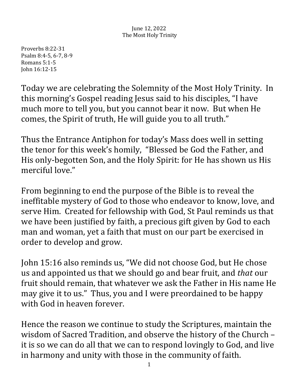Proverbs 8:22-31 Psalm 8:4-5, 6-7, 8-9 Romans 5:1-5 John 16:12-15

Today we are celebrating the Solemnity of the Most Holy Trinity. In this morning's Gospel reading Jesus said to his disciples, "I have much more to tell you, but you cannot bear it now. But when He comes, the Spirit of truth, He will guide you to all truth."

Thus the Entrance Antiphon for today's Mass does well in setting the tenor for this week's homily, "Blessed be God the Father, and His only-begotten Son, and the Holy Spirit: for He has shown us His merciful love."

From beginning to end the purpose of the Bible is to reveal the ineffitable mystery of God to those who endeavor to know, love, and serve Him. Created for fellowship with God, St Paul reminds us that we have been justified by faith, a precious gift given by God to each man and woman, yet a faith that must on our part be exercised in order to develop and grow.

John 15:16 also reminds us, "We did not choose God, but He chose us and appointed us that we should go and bear fruit, and *that* our fruit should remain, that whatever we ask the Father in His name He may give it to us." Thus, you and I were preordained to be happy with God in heaven forever.

Hence the reason we continue to study the Scriptures, maintain the wisdom of Sacred Tradition, and observe the history of the Church it is so we can do all that we can to respond lovingly to God, and live in harmony and unity with those in the community of faith.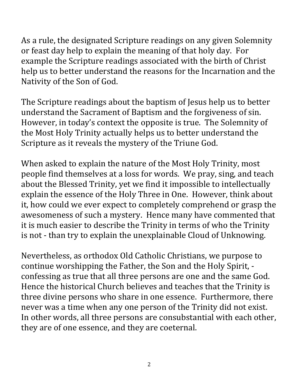As a rule, the designated Scripture readings on any given Solemnity or feast day help to explain the meaning of that holy day. For example the Scripture readings associated with the birth of Christ help us to better understand the reasons for the Incarnation and the Nativity of the Son of God.

The Scripture readings about the baptism of Jesus help us to better understand the Sacrament of Baptism and the forgiveness of sin. However, in today's context the opposite is true. The Solemnity of the Most Holy Trinity actually helps us to better understand the Scripture as it reveals the mystery of the Triune God.

When asked to explain the nature of the Most Holy Trinity, most people find themselves at a loss for words. We pray, sing, and teach about the Blessed Trinity, yet we find it impossible to intellectually explain the essence of the Holy Three in One. However, think about it, how could we ever expect to completely comprehend or grasp the awesomeness of such a mystery. Hence many have commented that it is much easier to describe the Trinity in terms of who the Trinity is not - than try to explain the unexplainable Cloud of Unknowing.

Nevertheless, as orthodox Old Catholic Christians, we purpose to continue worshipping the Father, the Son and the Holy Spirit, confessing as true that all three persons are one and the same God. Hence the historical Church believes and teaches that the Trinity is three divine persons who share in one essence. Furthermore, there never was a time when any one person of the Trinity did not exist. In other words, all three persons are consubstantial with each other, they are of one essence, and they are coeternal.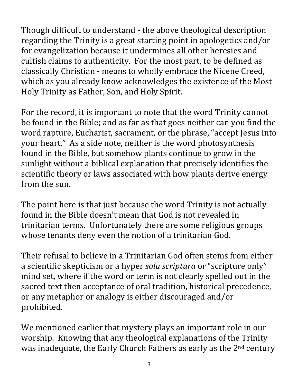Though difficult to understand - the above theological description regarding the Trinity is a great starting point in apologetics and/or for evangelization because it undermines all other heresies and cultish claims to authenticity. For the most part, to be defined as classically Christian - means to wholly embrace the Nicene Creed, which as you already know acknowledges the existence of the Most Holy Trinity as Father, Son, and Holy Spirit.

For the record, it is important to note that the word Trinity cannot be found in the Bible; and as far as that goes neither can you find the word rapture, Eucharist, sacrament, or the phrase, "accept Jesus into your heart." As a side note, neither is the word photosynthesis found in the Bible, but somehow plants continue to grow in the sunlight without a biblical explanation that precisely identifies the scientific theory or laws associated with how plants derive energy from the sun.

The point here is that just because the word Trinity is not actually found in the Bible doesn't mean that God is not revealed in trinitarian terms. Unfortunately there are some religious groups whose tenants deny even the notion of a trinitarian God.

Their refusal to believe in a Trinitarian God often stems from either a scientific skepticism or a hyper *sola scriptura* or "scripture only" mind set, where if the word or term is not clearly spelled out in the sacred text then acceptance of oral tradition, historical precedence, or any metaphor or analogy is either discouraged and/or prohibited. 

We mentioned earlier that mystery plays an important role in our worship. Knowing that any theological explanations of the Trinity was inadequate, the Early Church Fathers as early as the  $2<sup>nd</sup>$  century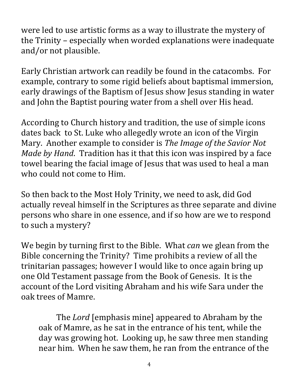were led to use artistic forms as a way to illustrate the mystery of the Trinity – especially when worded explanations were inadequate and/or not plausible.

Early Christian artwork can readily be found in the catacombs. For example, contrary to some rigid beliefs about baptismal immersion, early drawings of the Baptism of Jesus show Jesus standing in water and John the Baptist pouring water from a shell over His head.

According to Church history and tradition, the use of simple icons dates back to St. Luke who allegedly wrote an icon of the Virgin Mary. Another example to consider is *The Image of the Savior Not Made by Hand*. Tradition has it that this icon was inspired by a face towel bearing the facial image of Jesus that was used to heal a man who could not come to Him.

So then back to the Most Holy Trinity, we need to ask, did God actually reveal himself in the Scriptures as three separate and divine persons who share in one essence, and if so how are we to respond to such a mystery?

We begin by turning first to the Bible. What *can* we glean from the Bible concerning the Trinity? Time prohibits a review of all the trinitarian passages; however I would like to once again bring up one Old Testament passage from the Book of Genesis. It is the account of the Lord visiting Abraham and his wife Sara under the oak trees of Mamre. 

The *Lord* [emphasis mine] appeared to Abraham by the oak of Mamre, as he sat in the entrance of his tent, while the day was growing hot. Looking up, he saw three men standing near him. When he saw them, he ran from the entrance of the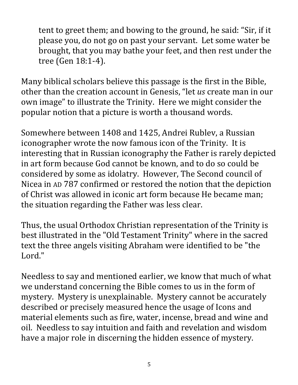tent to greet them; and bowing to the ground, he said: "Sir, if it please you, do not go on past your servant. Let some water be brought, that you may bathe your feet, and then rest under the tree (Gen 18:1-4).

Many biblical scholars believe this passage is the first in the Bible, other than the creation account in Genesis, "let *us* create man in our own image" to illustrate the Trinity. Here we might consider the popular notion that a picture is worth a thousand words.

Somewhere between 1408 and 1425, Andrei Rublev, a Russian iconographer wrote the now famous icon of the Trinity. It is interesting that in Russian iconography the Father is rarely depicted in art form because God cannot be known, and to do so could be considered by some as idolatry. However, The Second council of Nicea in AD 787 confirmed or restored the notion that the depiction of Christ was allowed in iconic art form because He became man; the situation regarding the Father was less clear.

Thus, the usual Orthodox Christian representation of the Trinity is best illustrated in the "Old Testament Trinity" where in the sacred text the three angels visiting Abraham were identified to be "the Lord."

Needless to say and mentioned earlier, we know that much of what we understand concerning the Bible comes to us in the form of mystery. Mystery is unexplainable. Mystery cannot be accurately described or precisely measured hence the usage of Icons and material elements such as fire, water, incense, bread and wine and oil. Needless to say intuition and faith and revelation and wisdom have a major role in discerning the hidden essence of mystery.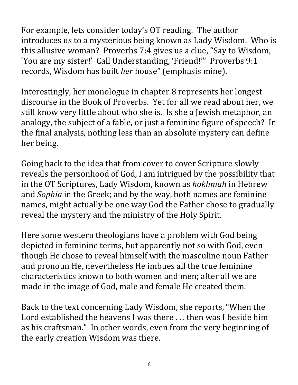For example, lets consider today's OT reading. The author introduces us to a mysterious being known as Lady Wisdom. Who is this allusive woman? Proverbs 7:4 gives us a clue, "Say to Wisdom, 'You are my sister!' Call Understanding, 'Friend!'" Proverbs 9:1 records, Wisdom has built *her* house" (emphasis mine).

Interestingly, her monologue in chapter 8 represents her longest discourse in the Book of Proverbs. Yet for all we read about her, we still know very little about who she is. Is she a Jewish metaphor, an analogy, the subject of a fable, or just a feminine figure of speech? In the final analysis, nothing less than an absolute mystery can define her being.

Going back to the idea that from cover to cover Scripture slowly reveals the personhood of God, I am intrigued by the possibility that in the OT Scriptures, Lady Wisdom, known as *hokhmah* in Hebrew and *Sophia* in the Greek; and by the way, both names are feminine names, might actually be one way God the Father chose to gradually reveal the mystery and the ministry of the Holy Spirit.

Here some western theologians have a problem with God being depicted in feminine terms, but apparently not so with God, even though He chose to reveal himself with the masculine noun Father and pronoun He, nevertheless He imbues all the true feminine characteristics known to both women and men; after all we are made in the image of God, male and female He created them.

Back to the text concerning Lady Wisdom, she reports, "When the Lord established the heavens I was there  $\ldots$  then was I beside him as his craftsman." In other words, even from the very beginning of the early creation Wisdom was there.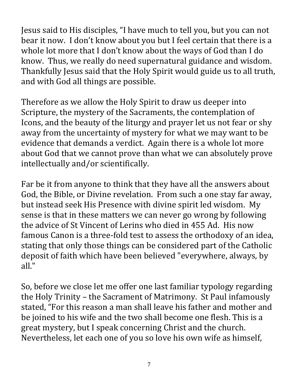Jesus said to His disciples, "I have much to tell you, but you can not bear it now. I don't know about you but I feel certain that there is a whole lot more that I don't know about the ways of God than I do know. Thus, we really do need supernatural guidance and wisdom. Thankfully Jesus said that the Holy Spirit would guide us to all truth, and with God all things are possible.

Therefore as we allow the Holy Spirit to draw us deeper into Scripture, the mystery of the Sacraments, the contemplation of Icons, and the beauty of the liturgy and prayer let us not fear or shy away from the uncertainty of mystery for what we may want to be evidence that demands a verdict. Again there is a whole lot more about God that we cannot prove than what we can absolutely prove intellectually and/or scientifically.

Far be it from anyone to think that they have all the answers about God, the Bible, or Divine revelation. From such a one stay far away, but instead seek His Presence with divine spirit led wisdom. My sense is that in these matters we can never go wrong by following the advice of St Vincent of Lerins who died in 455 Ad. His now famous Canon is a three-fold test to assess the orthodoxy of an idea, stating that only those things can be considered part of the Catholic deposit of faith which have been believed "everywhere, always, by all."

So, before we close let me offer one last familiar typology regarding the Holy Trinity – the Sacrament of Matrimony. St Paul infamously stated, "For this reason a man shall leave his father and mother and be joined to his wife and the two shall become one flesh. This is a great mystery, but I speak concerning Christ and the church. Nevertheless, let each one of you so love his own wife as himself,